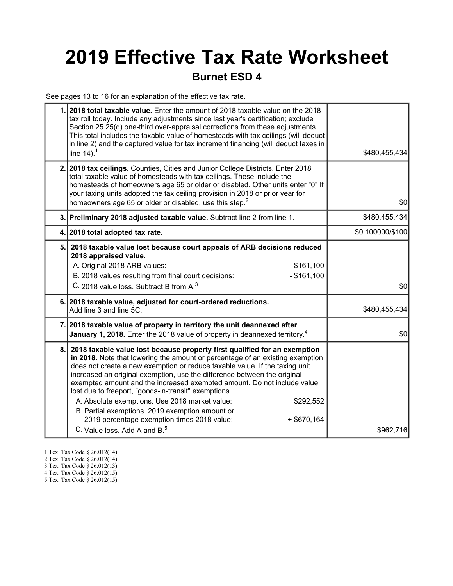# 2019 Effective Tax Rate Worksheet

### Burnet ESD 4

See pages 13 to 16 for an explanation of the effective tax rate.

|    | 1. 2018 total taxable value. Enter the amount of 2018 taxable value on the 2018<br>tax roll today. Include any adjustments since last year's certification; exclude<br>Section 25.25(d) one-third over-appraisal corrections from these adjustments.<br>This total includes the taxable value of homesteads with tax ceilings (will deduct<br>in line 2) and the captured value for tax increment financing (will deduct taxes in<br>line $14$ ). <sup>1</sup>                                                                                                                                                                                                                         | \$480,455,434    |
|----|----------------------------------------------------------------------------------------------------------------------------------------------------------------------------------------------------------------------------------------------------------------------------------------------------------------------------------------------------------------------------------------------------------------------------------------------------------------------------------------------------------------------------------------------------------------------------------------------------------------------------------------------------------------------------------------|------------------|
|    | 2. 2018 tax ceilings. Counties, Cities and Junior College Districts. Enter 2018<br>total taxable value of homesteads with tax ceilings. These include the<br>homesteads of homeowners age 65 or older or disabled. Other units enter "0" If<br>your taxing units adopted the tax ceiling provision in 2018 or prior year for<br>homeowners age 65 or older or disabled, use this step. <sup>2</sup>                                                                                                                                                                                                                                                                                    | \$0              |
|    | 3. Preliminary 2018 adjusted taxable value. Subtract line 2 from line 1.                                                                                                                                                                                                                                                                                                                                                                                                                                                                                                                                                                                                               | \$480,455,434    |
|    | 4. 2018 total adopted tax rate.                                                                                                                                                                                                                                                                                                                                                                                                                                                                                                                                                                                                                                                        | \$0.100000/\$100 |
|    | 5. 2018 taxable value lost because court appeals of ARB decisions reduced<br>2018 appraised value.<br>A. Original 2018 ARB values:<br>\$161,100<br>B. 2018 values resulting from final court decisions:<br>$-$ \$161,100<br>C. 2018 value loss. Subtract B from A. <sup>3</sup>                                                                                                                                                                                                                                                                                                                                                                                                        | \$0              |
|    | 6. 2018 taxable value, adjusted for court-ordered reductions.<br>Add line 3 and line 5C.                                                                                                                                                                                                                                                                                                                                                                                                                                                                                                                                                                                               | \$480,455,434    |
|    | 7. 2018 taxable value of property in territory the unit deannexed after<br>January 1, 2018. Enter the 2018 value of property in deannexed territory. <sup>4</sup>                                                                                                                                                                                                                                                                                                                                                                                                                                                                                                                      | \$0              |
| 8. | 2018 taxable value lost because property first qualified for an exemption<br>in 2018. Note that lowering the amount or percentage of an existing exemption<br>does not create a new exemption or reduce taxable value. If the taxing unit<br>increased an original exemption, use the difference between the original<br>exempted amount and the increased exempted amount. Do not include value<br>lost due to freeport, "goods-in-transit" exemptions.<br>A. Absolute exemptions. Use 2018 market value:<br>\$292,552<br>B. Partial exemptions. 2019 exemption amount or<br>2019 percentage exemption times 2018 value:<br>$+$ \$670,164<br>C. Value loss, Add A and B. <sup>5</sup> | \$962,716        |

- 1 Tex. Tax Code § 26.012(14)
- 2 Tex. Tax Code § 26.012(14)
- 3 Tex. Tax Code § 26.012(13)
- 4 Tex. Tax Code § 26.012(15)
- 5 Tex. Tax Code § 26.012(15)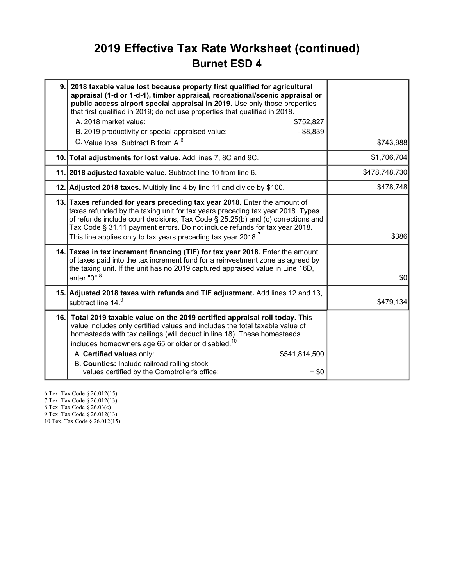### 2019 Effective Tax Rate Worksheet (continued) Burnet ESD 4

| 9. 2018 taxable value lost because property first qualified for agricultural<br>appraisal (1-d or 1-d-1), timber appraisal, recreational/scenic appraisal or<br>public access airport special appraisal in 2019. Use only those properties<br>that first qualified in 2019; do not use properties that qualified in 2018.<br>A. 2018 market value:<br>\$752,827<br>B. 2019 productivity or special appraised value:<br>$-$ \$8,839<br>C. Value loss, Subtract B from A. <sup>6</sup> | \$743,988     |
|--------------------------------------------------------------------------------------------------------------------------------------------------------------------------------------------------------------------------------------------------------------------------------------------------------------------------------------------------------------------------------------------------------------------------------------------------------------------------------------|---------------|
| 10. Total adjustments for lost value. Add lines 7, 8C and 9C.                                                                                                                                                                                                                                                                                                                                                                                                                        | \$1,706,704   |
| 11. 2018 adjusted taxable value. Subtract line 10 from line 6.                                                                                                                                                                                                                                                                                                                                                                                                                       | \$478,748,730 |
| 12. Adjusted 2018 taxes. Multiply line 4 by line 11 and divide by \$100.                                                                                                                                                                                                                                                                                                                                                                                                             | \$478,748     |
| 13. Taxes refunded for years preceding tax year 2018. Enter the amount of<br>taxes refunded by the taxing unit for tax years preceding tax year 2018. Types<br>of refunds include court decisions, Tax Code § 25.25(b) and (c) corrections and<br>Tax Code § 31.11 payment errors. Do not include refunds for tax year 2018.<br>This line applies only to tax years preceding tax year 2018. <sup>7</sup>                                                                            | \$386         |
| 14. Taxes in tax increment financing (TIF) for tax year 2018. Enter the amount<br>of taxes paid into the tax increment fund for a reinvestment zone as agreed by<br>the taxing unit. If the unit has no 2019 captured appraised value in Line 16D,<br>enter "0". <sup>8</sup>                                                                                                                                                                                                        | \$0           |
| 15. Adjusted 2018 taxes with refunds and TIF adjustment. Add lines 12 and 13,<br>subtract line 14.9                                                                                                                                                                                                                                                                                                                                                                                  | \$479,134     |
| 16. Total 2019 taxable value on the 2019 certified appraisal roll today. This<br>value includes only certified values and includes the total taxable value of<br>homesteads with tax ceilings (will deduct in line 18). These homesteads<br>includes homeowners age 65 or older or disabled. <sup>10</sup><br>A. Certified values only:<br>\$541,814,500<br>B. Counties: Include railroad rolling stock<br>values certified by the Comptroller's office:<br>$+$ \$0                  |               |

6 Tex. Tax Code § 26.012(15) 7 Tex. Tax Code § 26.012(13) 8 Tex. Tax Code § 26.03(c)

9 Tex. Tax Code § 26.012(13)

10 Tex. Tax Code § 26.012(15)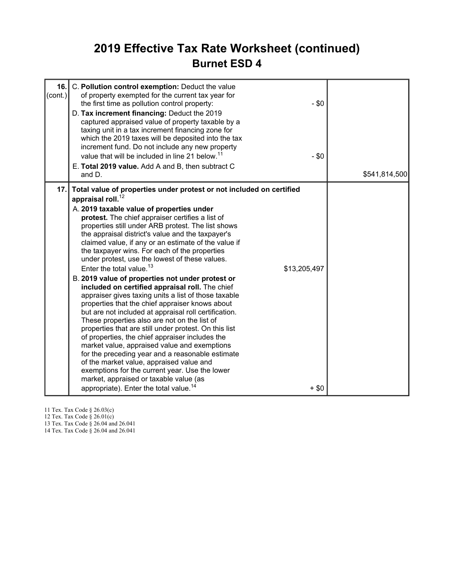### 2019 Effective Tax Rate Worksheet (continued) Burnet ESD 4

| 16.<br>(cont.) | C. Pollution control exemption: Deduct the value<br>of property exempted for the current tax year for<br>$-$ \$0<br>the first time as pollution control property:<br>D. Tax increment financing: Deduct the 2019<br>captured appraised value of property taxable by a<br>taxing unit in a tax increment financing zone for<br>which the 2019 taxes will be deposited into the tax<br>increment fund. Do not include any new property<br>value that will be included in line 21 below. <sup>11</sup><br>$-$ \$0<br>E. Total 2019 value. Add A and B, then subtract C<br>and D.                                                                                                                                                                                                                                                                                                                                                                                                                                                                                                                                                                                                                                                                                                      | \$541,814,500 |
|----------------|------------------------------------------------------------------------------------------------------------------------------------------------------------------------------------------------------------------------------------------------------------------------------------------------------------------------------------------------------------------------------------------------------------------------------------------------------------------------------------------------------------------------------------------------------------------------------------------------------------------------------------------------------------------------------------------------------------------------------------------------------------------------------------------------------------------------------------------------------------------------------------------------------------------------------------------------------------------------------------------------------------------------------------------------------------------------------------------------------------------------------------------------------------------------------------------------------------------------------------------------------------------------------------|---------------|
| 17.1           | Total value of properties under protest or not included on certified<br>appraisal roll. $^{12}$<br>A. 2019 taxable value of properties under<br>protest. The chief appraiser certifies a list of<br>properties still under ARB protest. The list shows<br>the appraisal district's value and the taxpayer's<br>claimed value, if any or an estimate of the value if<br>the taxpayer wins. For each of the properties<br>under protest, use the lowest of these values.<br>Enter the total value. <sup>13</sup><br>\$13,205,497<br>B. 2019 value of properties not under protest or<br>included on certified appraisal roll. The chief<br>appraiser gives taxing units a list of those taxable<br>properties that the chief appraiser knows about<br>but are not included at appraisal roll certification.<br>These properties also are not on the list of<br>properties that are still under protest. On this list<br>of properties, the chief appraiser includes the<br>market value, appraised value and exemptions<br>for the preceding year and a reasonable estimate<br>of the market value, appraised value and<br>exemptions for the current year. Use the lower<br>market, appraised or taxable value (as<br>appropriate). Enter the total value. <sup>14</sup><br>$+$ \$0 |               |

11 Tex. Tax Code § 26.03(c)

12 Tex. Tax Code § 26.01(c)

13 Tex. Tax Code § 26.04 and 26.041

14 Tex. Tax Code § 26.04 and 26.041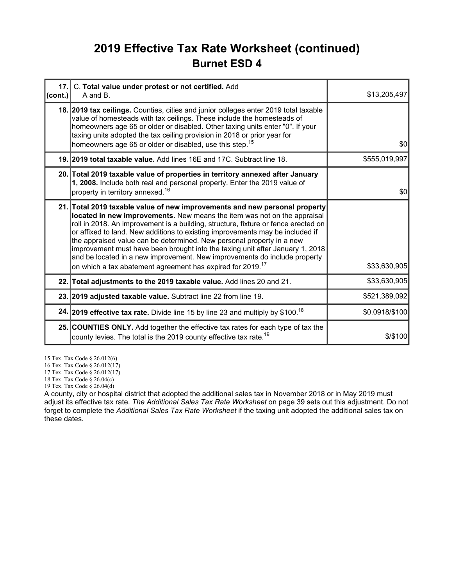### 2019 Effective Tax Rate Worksheet (continued) Burnet ESD 4

| cont. | 17. C. Total value under protest or not certified. Add<br>A and B.                                                                                                                                                                                                                                                                                                                                                                                                                                                                                                                                                                             | \$13,205,497   |
|-------|------------------------------------------------------------------------------------------------------------------------------------------------------------------------------------------------------------------------------------------------------------------------------------------------------------------------------------------------------------------------------------------------------------------------------------------------------------------------------------------------------------------------------------------------------------------------------------------------------------------------------------------------|----------------|
|       | 18. 2019 tax ceilings. Counties, cities and junior colleges enter 2019 total taxable<br>value of homesteads with tax ceilings. These include the homesteads of<br>homeowners age 65 or older or disabled. Other taxing units enter "0". If your<br>taxing units adopted the tax ceiling provision in 2018 or prior year for<br>homeowners age 65 or older or disabled, use this step. <sup>15</sup>                                                                                                                                                                                                                                            | \$0            |
|       | 19. 2019 total taxable value. Add lines 16E and 17C. Subtract line 18.                                                                                                                                                                                                                                                                                                                                                                                                                                                                                                                                                                         | \$555,019,997  |
|       | 20. Total 2019 taxable value of properties in territory annexed after January<br>1, 2008. Include both real and personal property. Enter the 2019 value of<br>property in territory annexed. <sup>16</sup>                                                                                                                                                                                                                                                                                                                                                                                                                                     | \$0            |
|       | 21. Total 2019 taxable value of new improvements and new personal property<br>located in new improvements. New means the item was not on the appraisal<br>roll in 2018. An improvement is a building, structure, fixture or fence erected on<br>or affixed to land. New additions to existing improvements may be included if<br>the appraised value can be determined. New personal property in a new<br>improvement must have been brought into the taxing unit after January 1, 2018<br>and be located in a new improvement. New improvements do include property<br>on which a tax abatement agreement has expired for 2019. <sup>17</sup> | \$33,630,905   |
|       | 22. Total adjustments to the 2019 taxable value. Add lines 20 and 21.                                                                                                                                                                                                                                                                                                                                                                                                                                                                                                                                                                          | \$33,630,905   |
|       | 23. 2019 adjusted taxable value. Subtract line 22 from line 19.                                                                                                                                                                                                                                                                                                                                                                                                                                                                                                                                                                                | \$521,389,092  |
|       | 24. 2019 effective tax rate. Divide line 15 by line 23 and multiply by \$100. <sup>18</sup>                                                                                                                                                                                                                                                                                                                                                                                                                                                                                                                                                    | \$0.0918/\$100 |
|       | 25. COUNTIES ONLY. Add together the effective tax rates for each type of tax the<br>county levies. The total is the 2019 county effective tax rate. <sup>19</sup>                                                                                                                                                                                                                                                                                                                                                                                                                                                                              | $$$ /\$100     |

15 Tex. Tax Code § 26.012(6)

16 Tex. Tax Code § 26.012(17)

17 Tex. Tax Code § 26.012(17)

18 Tex. Tax Code § 26.04(c)

19 Tex. Tax Code § 26.04(d)

A county, city or hospital district that adopted the additional sales tax in November 2018 or in May 2019 must adjust its effective tax rate. The Additional Sales Tax Rate Worksheet on page 39 sets out this adjustment. Do not forget to complete the Additional Sales Tax Rate Worksheet if the taxing unit adopted the additional sales tax on these dates.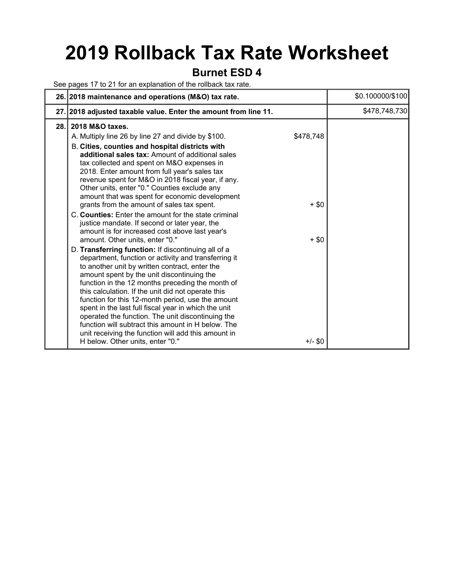# 2019 Rollback Tax Rate Worksheet

#### Burnet ESD 4

See pages 17 to 21 for an explanation of the rollback tax rate.

|     | 26. 2018 maintenance and operations (M&O) tax rate.                                                                                                                                                                                                                                                                                                                                                                                                                                                                                                                                                                                                                                                                           |                      | \$0.100000/\$100 |
|-----|-------------------------------------------------------------------------------------------------------------------------------------------------------------------------------------------------------------------------------------------------------------------------------------------------------------------------------------------------------------------------------------------------------------------------------------------------------------------------------------------------------------------------------------------------------------------------------------------------------------------------------------------------------------------------------------------------------------------------------|----------------------|------------------|
|     | 27. 2018 adjusted taxable value. Enter the amount from line 11.                                                                                                                                                                                                                                                                                                                                                                                                                                                                                                                                                                                                                                                               |                      | \$478,748,730    |
| 28. | 2018 M&O taxes.<br>A. Multiply line 26 by line 27 and divide by \$100.<br>B. Cities, counties and hospital districts with<br>additional sales tax: Amount of additional sales<br>tax collected and spent on M&O expenses in<br>2018. Enter amount from full year's sales tax<br>revenue spent for M&O in 2018 fiscal year, if any.<br>Other units, enter "0." Counties exclude any<br>amount that was spent for economic development<br>grants from the amount of sales tax spent.<br>C. Counties: Enter the amount for the state criminal<br>justice mandate. If second or later year, the                                                                                                                                   | \$478,748<br>$+$ \$0 |                  |
|     | amount is for increased cost above last year's<br>amount. Other units, enter "0."<br>D. Transferring function: If discontinuing all of a<br>department, function or activity and transferring it<br>to another unit by written contract, enter the<br>amount spent by the unit discontinuing the<br>function in the 12 months preceding the month of<br>this calculation. If the unit did not operate this<br>function for this 12-month period, use the amount<br>spent in the last full fiscal year in which the unit<br>operated the function. The unit discontinuing the<br>function will subtract this amount in H below. The<br>unit receiving the function will add this amount in<br>H below. Other units, enter "0." | $+$ \$0<br>$+/-$ \$0 |                  |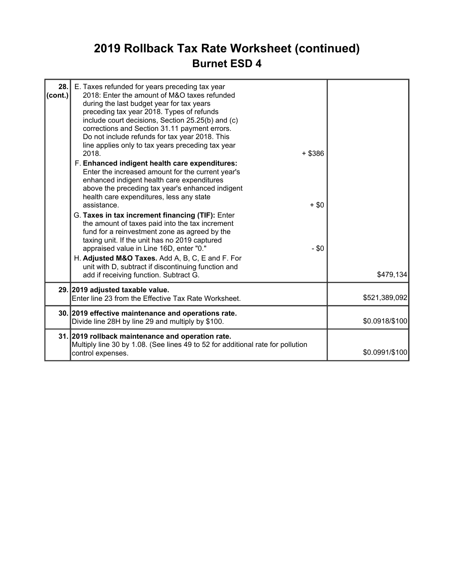## 2019 Rollback Tax Rate Worksheet (continued) Burnet ESD 4

| 28.<br>$\text{(cont.)}$ | E. Taxes refunded for years preceding tax year<br>2018: Enter the amount of M&O taxes refunded<br>during the last budget year for tax years<br>preceding tax year 2018. Types of refunds<br>include court decisions, Section 25.25(b) and (c)<br>corrections and Section 31.11 payment errors.<br>Do not include refunds for tax year 2018. This<br>line applies only to tax years preceding tax year<br>2018.<br>F. Enhanced indigent health care expenditures:<br>Enter the increased amount for the current year's<br>enhanced indigent health care expenditures<br>above the preceding tax year's enhanced indigent<br>health care expenditures, less any state<br>assistance.<br>G. Taxes in tax increment financing (TIF): Enter<br>the amount of taxes paid into the tax increment<br>fund for a reinvestment zone as agreed by the<br>taxing unit. If the unit has no 2019 captured<br>appraised value in Line 16D, enter "0." | $+$ \$386<br>$+$ \$0<br>$-$ \$0 |                |
|-------------------------|----------------------------------------------------------------------------------------------------------------------------------------------------------------------------------------------------------------------------------------------------------------------------------------------------------------------------------------------------------------------------------------------------------------------------------------------------------------------------------------------------------------------------------------------------------------------------------------------------------------------------------------------------------------------------------------------------------------------------------------------------------------------------------------------------------------------------------------------------------------------------------------------------------------------------------------|---------------------------------|----------------|
|                         | H. Adjusted M&O Taxes. Add A, B, C, E and F. For<br>unit with D, subtract if discontinuing function and<br>add if receiving function. Subtract G.                                                                                                                                                                                                                                                                                                                                                                                                                                                                                                                                                                                                                                                                                                                                                                                      |                                 | \$479,134      |
|                         | 29. 2019 adjusted taxable value.<br>Enter line 23 from the Effective Tax Rate Worksheet.                                                                                                                                                                                                                                                                                                                                                                                                                                                                                                                                                                                                                                                                                                                                                                                                                                               |                                 | \$521,389,092  |
|                         | 30. 2019 effective maintenance and operations rate.<br>Divide line 28H by line 29 and multiply by \$100.                                                                                                                                                                                                                                                                                                                                                                                                                                                                                                                                                                                                                                                                                                                                                                                                                               |                                 | \$0.0918/\$100 |
|                         | 31. 2019 rollback maintenance and operation rate.<br>Multiply line 30 by 1.08. (See lines 49 to 52 for additional rate for pollution<br>control expenses.                                                                                                                                                                                                                                                                                                                                                                                                                                                                                                                                                                                                                                                                                                                                                                              |                                 | \$0.0991/\$100 |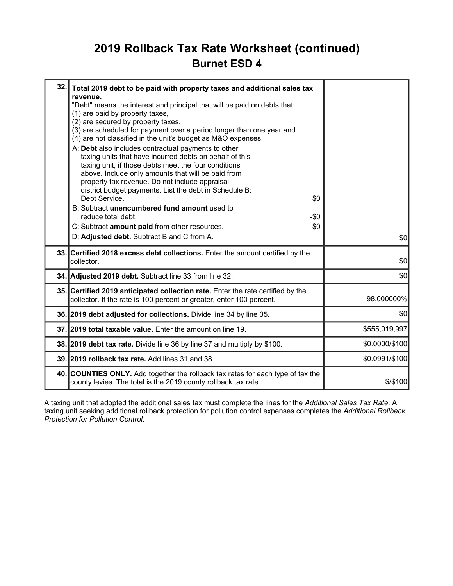### 2019 Rollback Tax Rate Worksheet (continued) Burnet ESD 4

| 32.1 | Total 2019 debt to be paid with property taxes and additional sales tax<br>revenue.<br>"Debt" means the interest and principal that will be paid on debts that:<br>(1) are paid by property taxes,<br>(2) are secured by property taxes,<br>(3) are scheduled for payment over a period longer than one year and<br>(4) are not classified in the unit's budget as M&O expenses.<br>A: Debt also includes contractual payments to other<br>taxing units that have incurred debts on behalf of this<br>taxing unit, if those debts meet the four conditions<br>above. Include only amounts that will be paid from<br>property tax revenue. Do not include appraisal<br>district budget payments. List the debt in Schedule B:<br>Debt Service.<br>\$0<br>B: Subtract unencumbered fund amount used to<br>reduce total debt.<br>-\$0<br>C: Subtract amount paid from other resources.<br>$-\$0$<br>D: Adjusted debt. Subtract B and C from A. | \$0            |
|------|---------------------------------------------------------------------------------------------------------------------------------------------------------------------------------------------------------------------------------------------------------------------------------------------------------------------------------------------------------------------------------------------------------------------------------------------------------------------------------------------------------------------------------------------------------------------------------------------------------------------------------------------------------------------------------------------------------------------------------------------------------------------------------------------------------------------------------------------------------------------------------------------------------------------------------------------|----------------|
|      | 33. Certified 2018 excess debt collections. Enter the amount certified by the<br>collector.                                                                                                                                                                                                                                                                                                                                                                                                                                                                                                                                                                                                                                                                                                                                                                                                                                                 | \$0            |
|      | 34. Adjusted 2019 debt. Subtract line 33 from line 32.                                                                                                                                                                                                                                                                                                                                                                                                                                                                                                                                                                                                                                                                                                                                                                                                                                                                                      | \$0            |
|      | 35. Certified 2019 anticipated collection rate. Enter the rate certified by the<br>collector. If the rate is 100 percent or greater, enter 100 percent.                                                                                                                                                                                                                                                                                                                                                                                                                                                                                                                                                                                                                                                                                                                                                                                     | 98.000000%     |
|      | 36. 2019 debt adjusted for collections. Divide line 34 by line 35.                                                                                                                                                                                                                                                                                                                                                                                                                                                                                                                                                                                                                                                                                                                                                                                                                                                                          | \$0            |
|      | 37.12019 total taxable value. Enter the amount on line 19.                                                                                                                                                                                                                                                                                                                                                                                                                                                                                                                                                                                                                                                                                                                                                                                                                                                                                  | \$555,019,997  |
|      | 38. 2019 debt tax rate. Divide line 36 by line 37 and multiply by \$100.                                                                                                                                                                                                                                                                                                                                                                                                                                                                                                                                                                                                                                                                                                                                                                                                                                                                    | \$0.0000/\$100 |
|      | 39. 2019 rollback tax rate. Add lines 31 and 38.                                                                                                                                                                                                                                                                                                                                                                                                                                                                                                                                                                                                                                                                                                                                                                                                                                                                                            | \$0.0991/\$100 |
|      | 40. COUNTIES ONLY. Add together the rollback tax rates for each type of tax the<br>county levies. The total is the 2019 county rollback tax rate.                                                                                                                                                                                                                                                                                                                                                                                                                                                                                                                                                                                                                                                                                                                                                                                           | $$$ /\$100     |

A taxing unit that adopted the additional sales tax must complete the lines for the Additional Sales Tax Rate. A taxing unit seeking additional rollback protection for pollution control expenses completes the Additional Rollback Protection for Pollution Control.